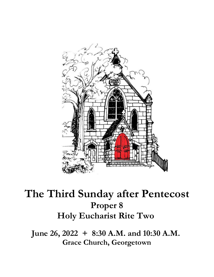

# **The Third Sunday after Pentecost Proper 8 Holy Eucharist Rite Two**

**June 26, 2022 + 8:30 A.M. and 10:30 A.M. Grace Church, Georgetown**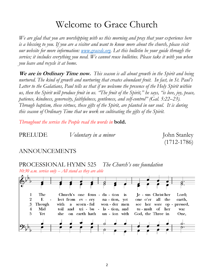# Welcome to Grace Church

*We are glad that you are worshipping with us this morning and pray that your experience here is a blessing to you. If you are a visitor and want to know more about the church, please visit our website for more information: [www.gracedc.org.](http://www.gracedc.org/) Let this bulletin be your guide through the service; it includes everything you need. We cannot reuse bulletins. Please take it with you when you leave and recycle it at home.*

**We are in Ordinary Time now.** *This season is all about growth in the Spirit and being nurtured. The kind of growth and nurturing that creates abundant fruit. In fact, in St. Paul's Letter to the Galatians, Paul tells us that if we welcome the presence of the Holy Spirit within us, then the Spirit will produce fruit in us. "The fruit of the Spirit," he says, "is love, joy, peace, patience, kindness, generosity, faithfulness, gentleness, and self-control" (Gal. 5:22–23). Through baptism, these virtues, these gifts of the Spirit, are planted in our soul. It is during this season of Ordinary Time that we work on cultivating the gifts of the Spirit.*

*Throughout the service the People read the words in* **bold.**

PRELUDE *Voluntary in a minor* John Stanley

(1712-1786)

# ANNOUNCEMENTS

# PROCESSIONAL HYMN 525 *The Church's one foundation*



*10:30 a.m. service only -- All stand as they are able*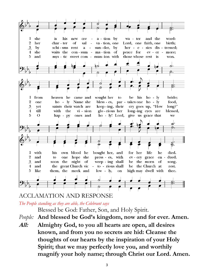

# ACCLAMATION AND RESPONSE

*The People standing as they are able, the Celebrant says*

Blessed be God: Father, Son, and Holy Spirit.

- *People:* **And blessed be God's kingdom, now and for ever. Amen.**
- **All: Almighty God, to you all hearts are open, all desires known, and from you no secrets are hid: Cleanse the thoughts of our hearts by the inspiration of your Holy Spirit; that we may perfectly love you, and worthily magnify your holy name; through Christ our Lord. Amen.**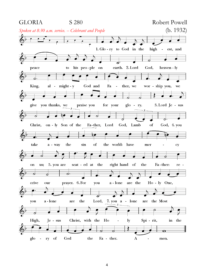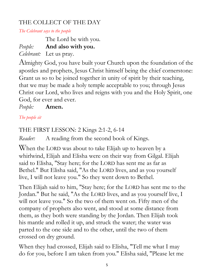# THE COLLECT OF THE DAY

*The Celebrant says to the people*

The Lord be with you.

*People:* **And also with you.**

*Celebrant:* Let us pray.

Almighty God, you have built your Church upon the foundation of the apostles and prophets, Jesus Christ himself being the chief cornerstone: Grant us so to be joined together in unity of spirit by their teaching, that we may be made a holy temple acceptable to you; through Jesus Christ our Lord, who lives and reigns with you and the Holy Spirit, one God, for ever and ever.

*People:* **Amen.**

*The people sit*

THE FIRST LESSON: 2 Kings 2:1-2, 6-14

*Reader:* A reading from the second book of Kings.

When the LORD was about to take Elijah up to heaven by a whirlwind, Elijah and Elisha were on their way from Gilgal. Elijah said to Elisha, "Stay here; for the LORD has sent me as far as Bethel." But Elisha said, "As the LORD lives, and as you yourself live, I will not leave you." So they went down to Bethel.

Then Elijah said to him, "Stay here; for the LORD has sent me to the Jordan." But he said, "As the LORD lives, and as you yourself live, I will not leave you." So the two of them went on. Fifty men of the company of prophets also went, and stood at some distance from them, as they both were standing by the Jordan. Then Elijah took his mantle and rolled it up, and struck the water; the water was parted to the one side and to the other, until the two of them crossed on dry ground.

When they had crossed, Elijah said to Elisha, "Tell me what I may do for you, before I am taken from you." Elisha said, "Please let me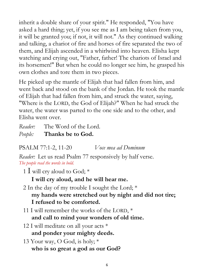inherit a double share of your spirit." He responded, "You have asked a hard thing; yet, if you see me as I am being taken from you, it will be granted you; if not, it will not." As they continued walking and talking, a chariot of fire and horses of fire separated the two of them, and Elijah ascended in a whirlwind into heaven. Elisha kept watching and crying out, "Father, father! The chariots of Israel and its horsemen!" But when he could no longer see him, he grasped his own clothes and tore them in two pieces.

He picked up the mantle of Elijah that had fallen from him, and went back and stood on the bank of the Jordan. He took the mantle of Elijah that had fallen from him, and struck the water, saying, "Where is the LORD, the God of Elijah?" When he had struck the water, the water was parted to the one side and to the other, and Elisha went over.

*Reader:* The Word of the Lord. *People:* **Thanks be to God.**

PSALM 77:1-2, 11-20 *Voce mea ad Dominum*

*Reader:* Let us read Psalm 77 responsively by half verse. *The people read the words in bold.*

1 I will cry aloud to God; \*

**I will cry aloud, and he will hear me.**

- 2 In the day of my trouble I sought the Lord; \* **my hands were stretched out by night and did not tire; I refused to be comforted.**
- 11 I will remember the works of the LORD,  $*$ **and call to mind your wonders of old time.**
- 12 I will meditate on all your acts \* **and ponder your mighty deeds.**
- 13 Your way, O God, is holy; \* **who is so great a god as our God?**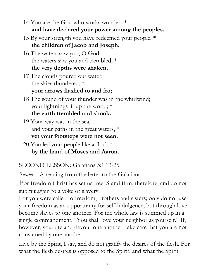- 14 You are the God who works wonders \* **and have declared your power among the peoples.**
- 15 By your strength you have redeemed your people, \* **the children of Jacob and Joseph.**
- 16 The waters saw you, O God; the waters saw you and trembled; \* **the very depths were shaken.**
- 17 The clouds poured out water; the skies thundered; \* **your arrows flashed to and fro;**
- 18 The sound of your thunder was in the whirlwind; your lightnings lit up the world; \* **the earth trembled and shook.**
- 19 Your way was in the sea, and your paths in the great waters, \* **yet your footsteps were not seen.**
- 20 You led your people like a flock \* **by the hand of Moses and Aaron.**

SECOND LESSON: Galatians 5:1,13-25

*Reader:* A reading from the letter to the Galatians.

For freedom Christ has set us free. Stand firm, therefore, and do not submit again to a yoke of slavery.

For you were called to freedom, brothers and sisters; only do not use your freedom as an opportunity for self-indulgence, but through love become slaves to one another. For the whole law is summed up in a single commandment, "You shall love your neighbor as yourself." If, however, you bite and devour one another, take care that you are not consumed by one another.

Live by the Spirit, I say, and do not gratify the desires of the flesh. For what the flesh desires is opposed to the Spirit, and what the Spirit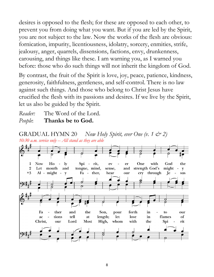desires is opposed to the flesh; for these are opposed to each other, to prevent you from doing what you want. But if you are led by the Spirit, you are not subject to the law. Now the works of the flesh are obvious: fornication, impurity, licentiousness, idolatry, sorcery, enmities, strife, jealousy, anger, quarrels, dissensions, factions, envy, drunkenness, carousing, and things like these. I am warning you, as I warned you before: those who do such things will not inherit the kingdom of God.

By contrast, the fruit of the Spirit is love, joy, peace, patience, kindness, generosity, faithfulness, gentleness, and self-control. There is no law against such things. And those who belong to Christ Jesus have crucified the flesh with its passions and desires. If we live by the Spirit, let us also be guided by the Spirit.

*Reader:* The Word of the Lord. *People*: **Thanks be to God.**

GRADUAL HYMN 20 *Now Holy Spirit, ever One*  $(v. 1 \, \text{cm}^2)$ *10:30 a.m. service only* -- *All stand as they are able*

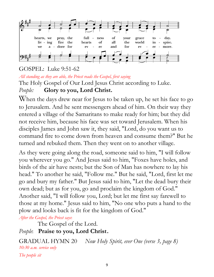

GOSPEL: Luke 9:51-62

*All standing as they are able, the Priest reads the Gospel, first saying* The Holy Gospel of Our Lord Jesus Christ according to Luke. *People:* **Glory to you, Lord Christ.**

When the days drew near for Jesus to be taken up, he set his face to go to Jerusalem. And he sent messengers ahead of him. On their way they entered a village of the Samaritans to make ready for him; but they did not receive him, because his face was set toward Jerusalem. When his disciples James and John saw it, they said, "Lord, do you want us to command fire to come down from heaven and consume them?" But he turned and rebuked them. Then they went on to another village.

As they were going along the road, someone said to him, "I will follow you wherever you go." And Jesus said to him, "Foxes have holes, and birds of the air have nests; but the Son of Man has nowhere to lay his head." To another he said, "Follow me." But he said, "Lord, first let me go and bury my father." But Jesus said to him, "Let the dead bury their own dead; but as for you, go and proclaim the kingdom of God." Another said, "I will follow you, Lord; but let me first say farewell to those at my home." Jesus said to him, "No one who puts a hand to the plow and looks back is fit for the kingdom of God."

*After the Gospel, the Priest says*:

The Gospel of the Lord.

*People*: **Praise to you, Lord Christ.**

GRADUAL HYMN 20 *Now Holy Spirit, ever One (verse 3, page 8) 10:30 a.m. service only The people sit*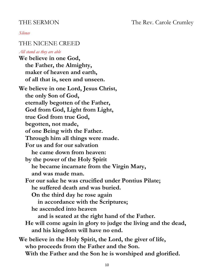#### *Silence*

#### THE NICENE CREED

*All stand as they are able*

**We believe in one God, the Father, the Almighty, maker of heaven and earth, of all that is, seen and unseen.**

**We believe in one Lord, Jesus Christ, the only Son of God, eternally begotten of the Father, God from God, Light from Light, true God from true God, begotten, not made, of one Being with the Father. Through him all things were made. For us and for our salvation he came down from heaven: by the power of the Holy Spirit he became incarnate from the Virgin Mary, and was made man. For our sake he was crucified under Pontius Pilate; he suffered death and was buried. On the third day he rose again in accordance with the Scriptures; he ascended into heaven and is seated at the right hand of the Father. He will come again in glory to judge the living and the dead, and his kingdom will have no end. We believe in the Holy Spirit, the Lord, the giver of life, who proceeds from the Father and the Son.**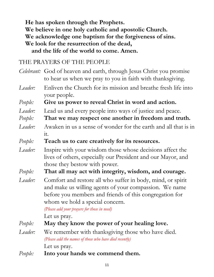**He has spoken through the Prophets. We believe in one holy catholic and apostolic Church. We acknowledge one baptism for the forgiveness of sins. We look for the resurrection of the dead, and the life of the world to come. Amen.**

# THE PRAYERS OF THE PEOPLE

*Celebrant:* God of heaven and earth, through Jesus Christ you promise to hear us when we pray to you in faith with thanksgiving. *Leader:* Enliven the Church for its mission and breathe fresh life into your people. *People:* **Give us power to reveal Christ in word and action.** *Leader:* Lead us and every people into ways of justice and peace. *People:* **That we may respect one another in freedom and truth.** *Leader:* Awaken in us a sense of wonder for the earth and all that is in it. *People:* **Teach us to care creatively for its resources.** *Leader:* Inspire with your wisdom those whose decisions affect the lives of others, especially our President and our Mayor, and those they bestow with power. *People:* **That all may act with integrity, wisdom, and courage.** *Leader:* Comfort and restore all who suffer in body, mind, or spirit and make us willing agents of your compassion. We name before you members and friends of this congregation for whom we hold a special concern. *(Please add your prayers for those in need)* Let us pray. *People:* **May they know the power of your healing love.** *Leader:* We remember with thanksgiving those who have died. *(Please add the names of those who have died recently)* Let us pray. *People:* **Into your hands we commend them.**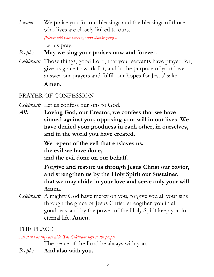*Leader:* We praise you for our blessings and the blessings of those who lives are closely linked to ours.

*(Please add your blessings and thanksgivings)*

Let us pray.

# *People:* **May we sing your praises now and forever.**

*Celebrant:* Those things, good Lord, that your servants have prayed for, give us grace to work for; and in the purpose of your love answer our prayers and fulfill our hopes for Jesus' sake.

# **Amen.**

# PRAYER OF CONFESSION

*Celebrant:* Let us confess our sins to God.

**All: Loving God, our Creator, we confess that we have sinned against you, opposing your will in our lives. We have denied your goodness in each other, in ourselves, and in the world you have created.**

**We repent of the evil that enslaves us,**

**the evil we have done,**

**and the evil done on our behalf.**

**Forgive and restore us through Jesus Christ our Savior, and strengthen us by the Holy Spirit our Sustainer, that we may abide in your love and serve only your will. Amen.**

*Celebrant:* Almighty God have mercy on you, forgive you all your sins through the grace of Jesus Christ, strengthen you in all goodness, and by the power of the Holy Spirit keep you in eternal life. **Amen.**

# THE PEACE

*All stand as they are able. The Celebrant says to the people*

The peace of the Lord be always with you.

*People:* **And also with you.**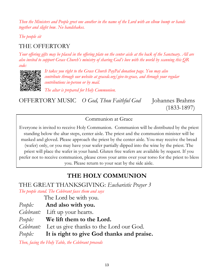*Then the Ministers and People greet one another in the name of the Lord with an elbow bump or hands together and slight bow. No handshakes.*

*The people sit*

# THE OFFERTORY

*Your offering gifts may be placed in the offering plate on the center aisle at the back of the Sanctuary. All are also invited to support Grace Church's ministry of sharing God's love with the world by scanning this QR code:* 



*It takes you right to the Grace Church PayPal donation page. You may also contribute through our website at gracedc.org/give-to-grace, and through your regular contributions in-person or by mail.*

*The altar is prepared for Holy Communion.*

OFFERTORY MUSIC *O God, Thou Faithful God* Johannes Brahms

(1833-1897)

# Communion at Grace

Everyone is invited to receive Holy Communion. Communion will be distributed by the priest standing below the altar steps, center aisle. The priest and the communion minister will be masked and gloved. Please approach the priest by the center aisle. You may receive the bread (wafer) only, or you may have your wafer partially dipped into the wine by the priest. The priest will place the wafer in your hand. Gluten free wafers are available by request. If you prefer not to receive communion, please cross your arms over your torso for the priest to bless you. Please return to your seat by the side aisle.

# **THE HOLY COMMUNION**

# THE GREAT THANKSGIVING: *Eucharistic Prayer 3*

*The people stand. The Celebrant faces them and says*

The Lord be with you.

*People:* **And also with you.**

*Celebrant:* Lift up your hearts.

*People:* **We lift them to the Lord.**

*Celebrant:* Let us give thanks to the Lord our God.

*People:* **It is right to give God thanks and praise.**

*Then, facing the Holy Table, the Celebrant proceeds*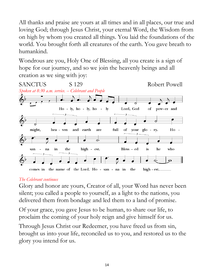All thanks and praise are yours at all times and in all places, our true and loving God; through Jesus Christ, your eternal Word, the Wisdom from on high by whom you created all things. You laid the foundations of the world. You brought forth all creatures of the earth. You gave breath to humankind.

Wondrous are you, Holy One of Blessing, all you create is a sign of hope for our journey, and so we join the heavenly beings and all creation as we sing with joy:



#### *The Celebrant continues*

Glory and honor are yours, Creator of all, your Word has never been silent; you called a people to yourself, as a light to the nations, you delivered them from bondage and led them to a land of promise.

Of your grace, you gave Jesus to be human, to share our life, to proclaim the coming of your holy reign and give himself for us.

Through Jesus Christ our Redeemer, you have freed us from sin, brought us into your life, reconciled us to you, and restored us to the glory you intend for us.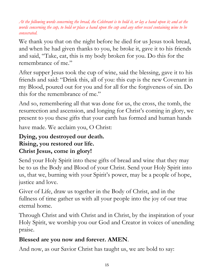*At the following words concerning the bread, the Celebrant is to hold it, or lay a hand upon it; and at the words concerning the cup, to hold or place a hand upon the cup and any other vessel containing wine to be consecrated*.

We thank you that on the night before he died for us Jesus took bread, and when he had given thanks to you, he broke it, gave it to his friends and said, "Take, eat, this is my body broken for you. Do this for the remembrance of me."

After supper Jesus took the cup of wine, said the blessing, gave it to his friends and said: "Drink this, all of you: this cup is the new Covenant in my Blood, poured out for you and for all for the forgiveness of sin. Do this for the remembrance of me."

And so, remembering all that was done for us, the cross, the tomb, the resurrection and ascension, and longing for Christ's coming in glory, we present to you these gifts that your earth has formed and human hands

have made. We acclaim you, O Christ:

# **Dying, you destroyed our death. Rising, you restored our life. Christ Jesus, come in glory!**

Send your Holy Spirit into these gifts of bread and wine that they may be to us the Body and Blood of your Christ. Send your Holy Spirit into us, that we, burning with your Spirit's power, may be a people of hope, justice and love.

Giver of Life, draw us together in the Body of Christ, and in the fullness of time gather us with all your people into the joy of our true eternal home.

Through Christ and with Christ and in Christ, by the inspiration of your Holy Spirit, we worship you our God and Creator in voices of unending praise.

# **Blessed are you now and forever. AMEN**.

And now, as our Savior Christ has taught us, we are bold to say: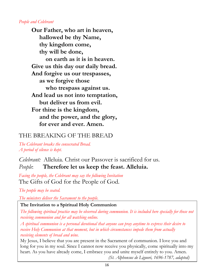#### *People and Celebrant*

**Our Father, who art in heaven, hallowed be thy Name, thy kingdom come, thy will be done, on earth as it is in heaven. Give us this day our daily bread. And forgive us our trespasses, as we forgive those who trespass against us. And lead us not into temptation, but deliver us from evil. For thine is the kingdom, and the power, and the glory, for ever and ever. Amen.**

# THE BREAKING OF THE BREAD

*The Celebrant breaks the consecrated Bread. A period of silence is kept.*

*Celebrant:* Alleluia. Christ our Passover is sacrificed for us. *People*: **Therefore let us keep the feast. Alleluia.** 

*Facing the people, the Celebrant may say the following Invitation* The Gifts of God for the People of God.

*The people may be seated.*

*The ministers deliver the Sacrament to the people.*

#### **The Invitation to a Spiritual Holy Communion**

*The following spiritual practice may be observed during communion. It is included here specially for those not receiving communion and for all watching online.* 

*A spiritual communion is a personal devotional that anyone can pray anytime to express their desire to receive Holy Communion at that moment, but in which circumstances impede them from actually receiving elements of bread and wine.*

My Jesus, I believe that you are present in the Sacrament of communion. I love you and long for you in my soul. Since I cannot now receive you physically, come spiritually into my heart. As you have already come, I embrace you and unite myself entirely to you. Amen.

*(St. Alphonsus de Liguori, 1696-1787, adapted)*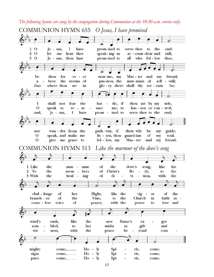*The following hymns are sung by the congregation during Communion at the 10:30 a.m. service only.*

COMMUNION HYMN 655 *O Jesus, I have promised*

 $\overline{O}$ prom-ised to  $\mathbf{1}$  $Je - sus,$ I have serve thee to. the end:  $\overline{2}$  $\overline{O}$ let me hear thee speak-ing in ac - cents clear and still,  $3\quad$ O thou hast prom-ised to all who fol - low thee,  $[e - sus,$ Mas - ter and be thou for  $ev$ er near me, my my friend; bove the pas-sion, the mur-murs of self - will;  $\mathbf{a}$ storms - of that where thou glo - ry there shall thy be; art in ser - vant  $\mathbf I$ shall the bat tle, if thou art by my side, not fear  $\mathbf O$ speak  $\mathbf{t}$  $\mathbf{r}\mathbf{e}$ as sure me, to has - ten or con - trol;  $\overline{\phantom{a}}$  $\mathrm{Je}$  - sus, have prom - ised to serve thee to the and, I end; wan - der from the path - way, if thou wilt guide. nor be my  $\mathbf{O}$ speak, and make me lis - ten, thou guard-ian of soul. my  $\overline{O}$ give me grace to  $fol - low, my$ Mas - ter and my friend. COMMUNION HYMN 513 *Like the murmur of the dove's song*like 1 Like the mur  $\mathcal{L}_{\mathbf{r}}$ mur of the dove's song, the  $2$  To the Christ's mem bers of Bo dy,  $\mathbf{t}$ the  $\blacksquare$ 3 With the of di sion, with the heal  $\overline{a}$ ing vi  $\mathbf{r}$  $\overline{\boldsymbol{\sigma}}$ chal - lenge of her flight, like the  $\frac{1}{2}$  - $\overline{\text{or}}$ of the branch - es  $of$ the Vine, the Church in faith as to cease - less love voice of prayer, with the power to and wind's rush, like the flame's new ea ger bled, sem her midst gift and  $\overline{a}$ to as wit ness, with the peace be yond com  $\overline{o}$ might:  $H_0 - V$ Spi come. come, rit,  $\blacksquare$ sign:  $Ho - ly$ Spi come, rit, come.  $\ddot{\phantom{1}}$ pare:  $Ho - ly$ Spi come, rit, come.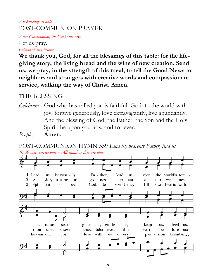# *All kneeling as able* POST-COMMUNION PRAYER

*After Communion, the Celebrant says*

Let us pray. *Celebrant and People:*

**We thank you, God, for all the blessings of this table: for the lifegiving story, the living bread and the wine of new creation. Send us, we pray, in the strength of this meal, to tell the Good News to neighbors and strangers with creative words and compassionate service, walking the way of Christ. Amen.**

# THE BLESSING

*Celebrant*: God who has called you is faithful. Go into the world with joy, forgive generously, love extravagantly, live abundantly. And the blessing of God, the Father, the Son and the Holy Spirit, be upon you now and for ever.

*People:* **Amen.**

POST-COMMUNION HYMN 559 *Lead us, heavenly Father, lead us 10:30 a.m. service only -- All stand as they are able*

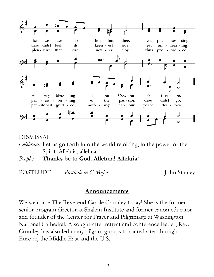

#### DISMISSAL

*Celebrant:* Let us go forth into the world rejoicing, in the power of the Spirit. Alleluia, alleluia.

# *People:* **Thanks be to God. Alleluia! Alleluia!**

POSTLUDE *Postlude in G Major* John Stanley

#### **Announcements**

We welcome The Reverend Carole Crumley today! She is the former senior program director at Shalem Institute and former canon educator and founder of the Center for Prayer and Pilgrimage at Washington National Cathedral. A sought-after retreat and conference leader, Rev. Crumley has also led many pilgrim groups to sacred sites through Europe, the Middle East and the U.S.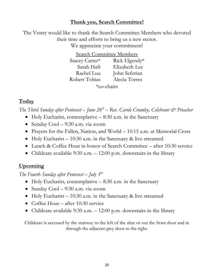#### **Thank you, Search Committee!**

The Vestry would like to thank the Search Committee Members who devoted their time and efforts to bring us a new rector.

We appreciate your commitment!

Search Committee Members Stacey Carter\* Rick Elgendy\* Sarah Haft Elizabeth Lee Rachel Luu John Seferian Robert Tobias Alecia Torres \*co-chairs

#### **Today**

*The Third Sunday after Pentecost – June 26th – Rev. Carole Crumley, Celebrant & Preacher* 

- Holy Eucharist, contemplative 8:30 a.m. in the Sanctuary
- Sunday Cool 9:30 a.m. via zoom
- Prayers for the Fallen, Nation, and World 10:15 a.m. at Memorial Cross
- Holy Eucharist 10:30 a.m. in the Sanctuary & live streamed
- Lunch & Coffee Hour in honor of Search Committee after 10:30 service
- Childcare available 9:30 a.m.  $-12:00$  p.m. downstairs in the library

# **Upcoming**

*The Fourth Sunday after Pentecost – July 3 rd*

- Holy Eucharist, contemplative 8:30 a.m. in the Sanctuary
- Sunday Cool 9:30 a.m. via zoom
- Holy Eucharist 10:30 a.m. in the Sanctuary & live streamed
- Coffee Hour after 10:30 service
- Childcare available  $9:30$  a.m.  $-12:00$  p.m. downstairs in the library

Childcare is accessed by the stairway to the left of the altar or out the front door and in through the adjacent grey door to the right.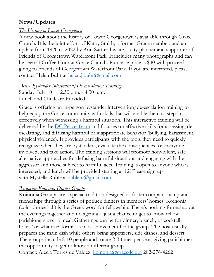# **News/Updates**

#### *The History of Lower Georgetown*

A new book about the history of Lower Georgetown is available through Grace Church. It is the joint effort of Kathy Smith, a former Grace member, and an update from 1920 to 2022 by Ann Sattterthwaite, a city planner and supporter of Friends of Georgetown Waterfront Park. It includes many photographs and can be seen at Coffee Hour at Grace Church. Purchase price is \$30 with proceeds going to Friends of Georgetown Waterfront Park. If you are interested, please contact Helen Buhr at [helen.j.buhr@gmail.com.](mailto:helen.j.buhr@gmail.com)

#### *Active Bystander Intervention/De-Escalation Training* Sunday, July 10 | 12:30 p.m. - 4:30 p.m. Lunch and Childcare Provided

Grace is offering an in-person bystander intervention/de-escalation training to help equip the Grace community with skills that will enable them to step in effectively when witnessing a harmful situation. This interactive training will be delivered by the <u>[DC Peace Team](https://www.dcpeaceteam.org/training)</u> and focuses on effective skills for assessing, deescalating, and diffusing harmful or inappropriate behavior (bullying, harassment, physical violence). It provides participants with the tools they need to quickly recognize when they are bystanders, evaluate the consequences for everyone involved, and take action. The training sessions will promote nonviolent, safe alternative approaches for defusing harmful situations and engaging with the aggressor and those subject to harmful acts. Training is open to anyone who is interested, and lunch will be provided starting at 12! Please sign up with Mystelle Ruble at [rublem@gmail.com.](mailto:rublem@gmail.com)

# *Resuming Koinonia Dinner Groups*

Koinonia Groups are a special tradition designed to foster companionship and friendships through a series of potluck dinners in members' homes. Koinonia (coin-oh-nee'-ah) is the Greek word for fellowship. There's nothing formal about the evenings together and no agenda—just a chance to get to know fellow parishioners over a meal. Gatherings can be for dinner, brunch, a "cocktail hour," or whatever format is most convenient for the group. The host usually prepares the main dish while others bring appetizers, side dishes, and dessert. The groups include 8-10 people and rotate 2-3 times per year, giving parishioners the opportunity to get to know a different group.

Contact: Alecia Torres de Valdez, [koinonia@gracedc.org](mailto:koinonia@gracedc.org) 202-276-4262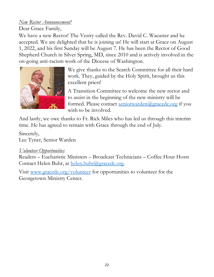#### *New Rector Announcement!*

Dear Grace Family,

We have a new Rector! The Vestry called the Rev. David C. Wacaster and he accepted. We are delighted that he is joining us! He will start at Grace on August 1, 2022, and his first Sunday will be August 7. He has been the Rector of Good Shepherd Church in Silver Spring, MD, since 2010 and is actively involved in the on-going anti-racism work of the Diocese of Washington.



We give thanks to the Search Committee for all their hard work. They, guided by the Holy Spirit, brought us this excellent priest!

A Transition Committee to welcome the new rector and to assist in the beginning of the new ministry will be formed. Please contact <u>seniorwarden@gracedc.org</u> if you wish to be involved.

And lastly, we owe thanks to Fr. Rick Miles who has led us through this interim time. He has agreed to remain with Grace through the end of July.

Sincerely, Lee Tyner, Senior Warden

# *Volunteer Opportunities*

Readers – Eucharistic Ministers – Broadcast Technicians – Coffee Hour Hosts Contact Helen Buhr, at [helen.buhr@gracedc.org.](mailto:helen.buhr@gracedc.org)

Visit [www.gracedc.org/volunteer](http://www.gracedc.org/volunteer) for opportunities to volunteer for the Georgetown Ministry Center.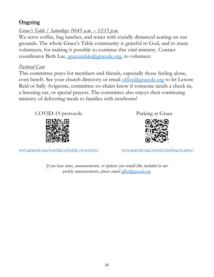# **Ongoing**

# *Grace's Table / Saturdays 10:45 a.m. – 12:15 p.m.*

We serve coffee, bag lunches, and water with socially distanced seating on our grounds. The whole Grace's Table community is grateful to God, and to many volunteers, for making it possible to continue this vital ministry. Contact coordinator Beth Lee, **gracestable**@gracedc.org, to volunteer.

#### *Pastoral Care*

This committee prays for members and friends, especially those feeling alone, even bereft. See your church directory or email [office@gracedc.org](mailto:office@gracedc.org) to let Lenore Reid or Sally Avignone, committee co-chairs know if someone needs a check-in, a listening ear, or special prayers. The committee also enjoys their continuing ministry of delivering meals to families with newborns!

COVID-19 protocols Parking at Grace



[www.gracedc.org/worship/schedule-of-services/](http://www.gracedc.org/worship/schedule-of-services/) [www.gracedc.org/contact/parking-at-grace/](http://www.gracedc.org/contact/parking-at-grace/)



*If you have news, announcements, or updates you would like included in our weekly announcements, please email [office@gracedc.org.](mailto:office@gracedc.org)*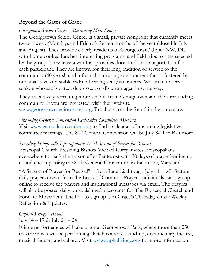# **Beyond the Gates of Grace**

#### *Georgetown Senior Center – Recruiting More Seniors*

The Georgetown Senior Center is a small, private nonprofit that currently meets twice a week (Mondays and Fridays) for ten months of the year (closed in July and August). They provide elderly residents of Georgetown/Upper NW, DC with home-cooked lunches, interesting programs, and field trips to sites selected by the group. They have a van that provides door-to-door transportation for each participant. They are known for their long tradition of service to the community (40 years!) and informal, nurturing environment that is fostered by our small size and stable cadre of caring staff/volunteers. We strive to serve seniors who are isolated, depressed, or disadvantaged in some way.

They are actively recruiting more seniors from Georgetown and the surrounding community. If you are interested, visit their website [www.georgetownseniorcenter.org.](http://www.georgetownseniorcenter.org/) Brochures can be found in the sanctuary.

# *Upcoming General Convention Legislative Committee Meetings*

Visit [www.generalconvention.org](http://www.generalconvention.org/) to find a calendar of upcoming legislative committee meetings. The  $80<sup>th</sup>$  General Convention will be July 8-11 in Baltimore.

#### *Presiding bishop calls Episcopalians to 'A Season of Prayer for Revival'*

Episcopal Church Presiding Bishop Michael Curry invites Episcopalians everywhere to mark the season after Pentecost with 30 days of prayer leading up to and encompassing the 80th General Convention in Baltimore, Maryland.

"A Season of Prayer for Revival"—from June 12 through July 11—will feature daily prayers drawn from the Book of Common Prayer. Individuals can sign up online to receive the prayers and inspirational messages via email. The prayers will also be posted daily on social media accounts for The Episcopal Church and Forward Movement. The link to sign up is in Grace's Thursday email: Weekly Reflection & Updates.

#### *Capital Fringe Festival*

# July 14 – 17 & July 21 – 24

Fringe performances will take place at Georgetown Park, where more than 250 theatre artists will be performing sketch comedy, stand-up, documentary theatre, musical theatre, and cabaret. Visit [www.capitalfringe.org](http://www.capitalfringe.org/) for more information.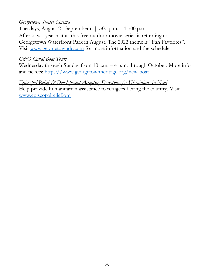#### *Georgetown Sunset Cinema*

Tuesdays, August 2 - September 6 | 7:00 p.m. – 11:00 p.m. After a two-year hiatus, this free outdoor movie series is returning to Georgetown Waterfront Park in August. The 2022 theme is "Fan Favorites". Visit [www.georgetowndc.com](http://www.georgetowndc.com/) for more information and the schedule.

#### *C&O Canal Boat Tours*

Wednesday through Sunday from 10 a.m. – 4 p.m. through October. More info and tickets:<https://www.georgetownheritage.org/new-boat>

*Episcopal Relief & Development Accepting Donations for Ukrainians in Need* Help provide humanitarian assistance to refugees fleeing the country. Visit [www.episcopalrelief.org](http://www.episcopalrelief.org/)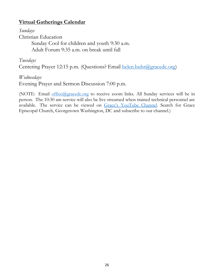#### **Virtual Gatherings Calendar**

*Sundays* Christian Education Sunday Cool for children and youth 9:30 a.m. Adult Forum 9:35 a.m. on break until fall

#### *Tuesdays*

Centering Prayer 12:15 p.m. (Questions? Email [helen.buhr@gracedc.o](mailto:helen.buhr@gracedc.)rg)

#### *Wednesdays*

Evening Prayer and Sermon Discussion 7:00 p.m.

(NOTE: Email [office@gracedc.org](mailto:office@gracedc.org) to receive zoom links. All Sunday services will be in person. The 10:30 am service will also be live streamed when trained technical personnel are available. The service can be viewed on [Grace's YouTube Channel](https://www.youtube.com/channel/UCVMevNXyBYrp3vCiKfF1D5g). Search for Grace Episcopal Church, Georgetown Washington, DC and subscribe to our channel.)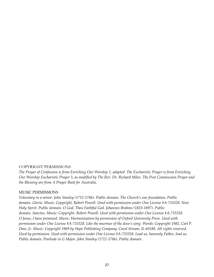#### COPYRIGHT PERMISSIONS

*The Prayer of Confession is from Enriching Our Worship 1, adapted. The Eucharistic Prayer is from Enriching Our Worship Eucharistic Prayer 3, as modified by The Rev. Dr. Richard Miles. The Post Communion Prayer and the Blessing are from A Prayer Book for Australia.* 

#### MUSIC PERMISSIONS

*Voluntary in a minor. John Stanley (1712-1786). Public domain. The Church's one foundation. Public domain. Gloria. Music: Copyright, Robert Powell. Used with permission under One License #A-733328. Now Holy Spirit. Public domain. O God, Thou Faithful God. Johannes Brahms (1833-1897). Public domain. Sanctus. Music: Copyright, Robert Powell. Used with permission under One License #A-733328. O Jesus, I have promised. Music: Harmonization by permission of Oxford University Press. Used with permission under One License #A-733328. Like the murmur of the dove's song. Words: Copyright 1982, Carl P. Daw, Jr. Music: Copyright 1969 by Hope Publishing Company, Carol Stream, IL 60188. All rights reserved. Used by permission. Used with permission under One License #A-733328. Lead us, heavenly Father, lead us. Public domain. Postlude in G Major. John Stanley (1712-1786). Public domain.*